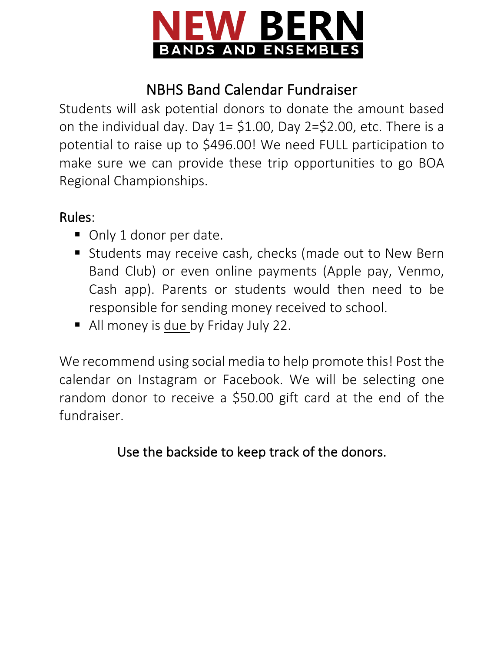

## NBHS Band Calendar Fundraiser

Students will ask potential donors to donate the amount based on the individual day. Day  $1 = $1.00$ , Day  $2 = $2.00$ , etc. There is a potential to raise up to \$496.00! We need FULL participation to make sure we can provide these trip opportunities to go BOA Regional Championships.

## Rules:

- Only 1 donor per date.
- Students may receive cash, checks (made out to New Bern Band Club) or even online payments (Apple pay, Venmo, Cash app). Parents or students would then need to be responsible for sending money received to school.
- All money is due by Friday July 22.

We recommend using social media to help promote this! Post the calendar on Instagram or Facebook. We will be selecting one random donor to receive a \$50.00 gift card at the end of the fundraiser.

Use the backside to keep track of the donors.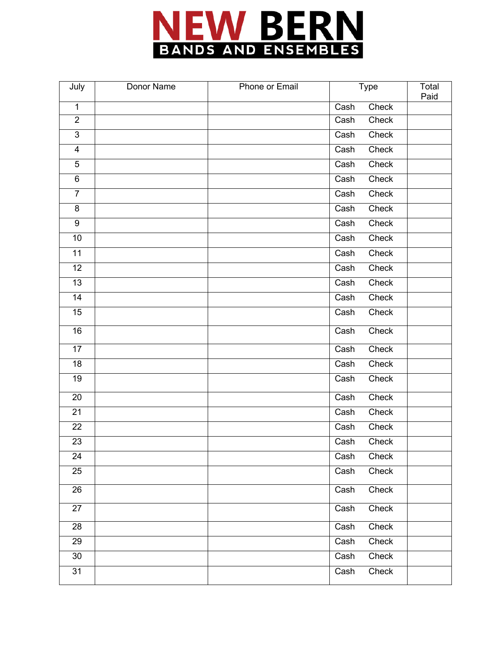

| July            | Donor Name | Phone or Email | <b>Type</b> | Total<br>Paid |
|-----------------|------------|----------------|-------------|---------------|
| $\mathbf{1}$    |            |                | Cash        | Check         |
| $\overline{2}$  |            |                | Cash        | Check         |
| $\overline{3}$  |            |                | Cash        | Check         |
| $\overline{4}$  |            |                | Cash        | Check         |
| $\overline{5}$  |            |                | Cash        | Check         |
| $\overline{6}$  |            |                | Cash        | Check         |
| $\overline{7}$  |            |                | Cash        | Check         |
| $\bf 8$         |            |                | Cash        | Check         |
| $\overline{9}$  |            |                | Cash        | Check         |
| $\overline{10}$ |            |                | Cash        | Check         |
| $\overline{11}$ |            |                | Cash        | Check         |
| 12              |            |                | Cash        | Check         |
| $\overline{13}$ |            |                | Cash        | Check         |
| $\overline{14}$ |            |                | Cash        | Check         |
| 15              |            |                | Cash        | Check         |
| 16              |            |                | Cash        | Check         |
| 17              |            |                | Cash        | Check         |
| 18              |            |                | Cash        | Check         |
| 19              |            |                | Cash        | Check         |
| 20              |            |                | Cash        | Check         |
| 21              |            |                | Cash        | Check         |
| 22              |            |                | Cash        | Check         |
| 23              |            |                | Cash        | Check         |
| 24              |            |                | Cash        | Check         |
| 25              |            |                | Cash        | Check         |
| 26              |            |                | Cash        | Check         |
| 27              |            |                | Cash        | Check         |
| 28              |            |                | Cash        | Check         |
| 29              |            |                | Cash        | Check         |
| 30              |            |                | Cash        | Check         |
| $\overline{31}$ |            |                | Cash        | Check         |
|                 |            |                |             |               |